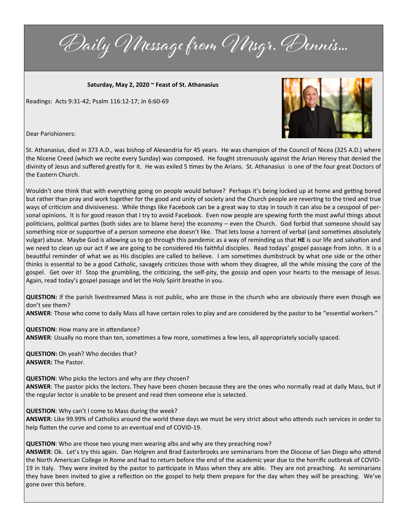Daily Message from Msgr. Dennis...

**Saturday, May 2, 2020 ~ Feast of St. Athanasius**

Readings: Acts 9:31-42; Psalm 116:12-17; Jn 6:60-69



Dear Parishioners:

St. Athanasius, died in 373 A.D., was bishop of Alexandria for 45 years. He was champion of the Council of Nicea (325 A.D.) where the Nicene Creed (which we recite every Sunday) was composed. He fought strenuously against the Arian Heresy that denied the divinity of Jesus and suffered greatly for it. He was exiled 5 times by the Arians. St. Athanasius is one of the four great Doctors of the Eastern Church.

Wouldn't one think that with everything going on people would behave? Perhaps it's being locked up at home and getting bored but rather than pray and work together for the good and unity of society and the Church people are reverting to the tried and true ways of criticism and divisiveness. While things like Facebook can be a great way to stay in touch it can also be a cesspool of personal opinions. It is for good reason that I try to avoid Facebook. Even now people are spewing forth the most awful things about politicians, political parties (both sides are to blame here) the economy – even the Church. God forbid that someone should say something nice or supportive of a person someone else doesn't like. That lets loose a torrent of verbal (and sometimes absolutely vulgar) abuse. Maybe God is allowing us to go through this pandemic as a way of reminding us that **HE** is our life and salvation and we need to clean up our act if we are going to be considered His faithful disciples. Read todays' gospel passage from John. It is a beautiful reminder of what we as His disciples are called to believe. I am sometimes dumbstruck by what one side or the other thinks is essential to be a good Catholic, savagely criticizes those with whom they disagree, all the while missing the core of the gospel. Get over it! Stop the grumbling, the criticizing, the self-pity, the gossip and open your hearts to the message of Jesus. Again, read today's gospel passage and let the Holy Spirit breathe in you.

**QUESTION:** If the parish livestreamed Mass is not public, who are those in the church who are obviously there even though we don't see them?

**ANSWER**: Those who come to daily Mass all have certain roles to play and are considered by the pastor to be "essential workers."

**QUESTION**: How many are in attendance? **ANSWER**: Usually no more than ten, sometimes a few more, sometimes a few less, all appropriately socially spaced.

**QUESTION:** Oh yeah? Who decides that? **ANSWER:** The Pastor.

**QUESTION**: Who picks the lectors and why are *they* chosen?

**ANSWER**: The pastor picks the lectors. They have been chosen because they are the ones who normally read at daily Mass, but if the regular lector is unable to be present and read then someone else is selected.

**QUESTION**: Why can't I come to Mass during the week?

**ANSWER**: Like 99.99% of Catholics around the world these days we must be very strict about who attends such services in order to help flatten the curve and come to an eventual end of COVID-19.

**QUESTION**: Who are those two young men wearing albs and why are they preaching now?

**ANSWER**: Ok. Let's try this again. Dan Holgren and Brad Easterbrooks are seminarians from the Diocese of San Diego who attend the North American College in Rome and had to return before the end of the academic year due to the horrific outbreak of COVID-19 in Italy. They were invited by the pastor to participate in Mass when they are able. They are not preaching. As seminarians they have been invited to give a reflection on the gospel to help them prepare for the day when they *will* be preaching. We've gone over this before.